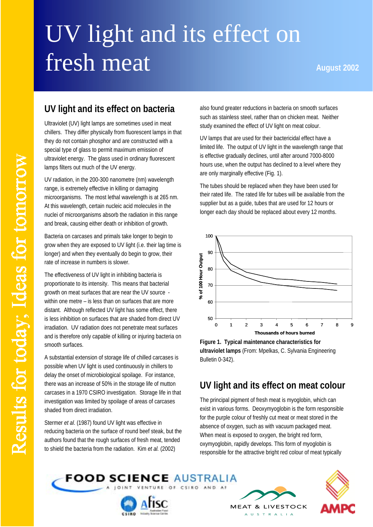# UV light and its effect on fresh meat **August 2002**

### **UV light and its effect on bacteria**

Ultraviolet (UV) light lamps are sometimes used in meat chillers. They differ physically from fluorescent lamps in that they do not contain phosphor and are constructed with a special type of glass to permit maximum emission of ultraviolet energy. The glass used in ordinary fluorescent lamps filters out much of the UV energy.

UV radiation, in the 200-300 nanometre (nm) wavelength range, is extremely effective in killing or damaging microorganisms. The most lethal wavelength is at 265 nm. At this wavelength, certain nucleic acid molecules in the nuclei of microorganisms absorb the radiation in this range and break, causing either death or inhibition of growth.

Bacteria on carcases and primals take longer to begin to grow when they are exposed to UV light (i.e. their lag time is longer) and when they eventually do begin to grow, their rate of increase in numbers is slower.

The effectiveness of UV light in inhibiting bacteria is proportionate to its intensity. This means that bacterial growth on meat surfaces that are near the UV source within one metre – is less than on surfaces that are more distant. Although reflected UV light has some effect, there is less inhibition on surfaces that are shaded from direct UV irradiation. UV radiation does not penetrate meat surfaces and is therefore only capable of killing or injuring bacteria on smooth surfaces.

A substantial extension of storage life of chilled carcases is possible when UV light is used continuously in chillers to delay the onset of microbiological spoilage. For instance, there was an increase of 50% in the storage life of mutton carcases in a 1970 CSIRO investigation. Storage life in that investigation was limited by spoilage of areas of carcases shaded from direct irradiation.

Stermer *et al*. (1987) found UV light was effective in reducing bacteria on the surface of round beef steak, but the authors found that the rough surfaces of fresh meat, tended to shield the bacteria from the radiation. Kim *et al.* (2002)

also found greater reductions in bacteria on smooth surfaces such as stainless steel, rather than on chicken meat. Neither study examined the effect of UV light on meat colour.

UV lamps that are used for their bactericidal effect have a limited life. The output of UV light in the wavelength range that is effective gradually declines, until after around 7000-8000 hours use, when the output has declined to a level where they are only marginally effective (Fig. 1).

The tubes should be replaced when they have been used for their rated life. The rated life for tubes will be available from the supplier but as a guide, tubes that are used for 12 hours or longer each day should be replaced about every 12 months.



**Figure 1. Typical maintenance characteristics for ultraviolet lamps** (From: Mpelkas, C. Sylvania Engineering Bulletin 0-342).

#### **UV light and its effect on meat colour**

The principal pigment of fresh meat is myoglobin, which can exist in various forms. Deoxymyoglobin is the form responsible for the purple colour of freshly cut meat or meat stored in the absence of oxygen, such as with vacuum packaged meat. When meat is exposed to oxygen, the bright red form, oxymyoglobin, rapidly develops. This form of myoglobin is responsible for the attractive bright red colour of meat typically